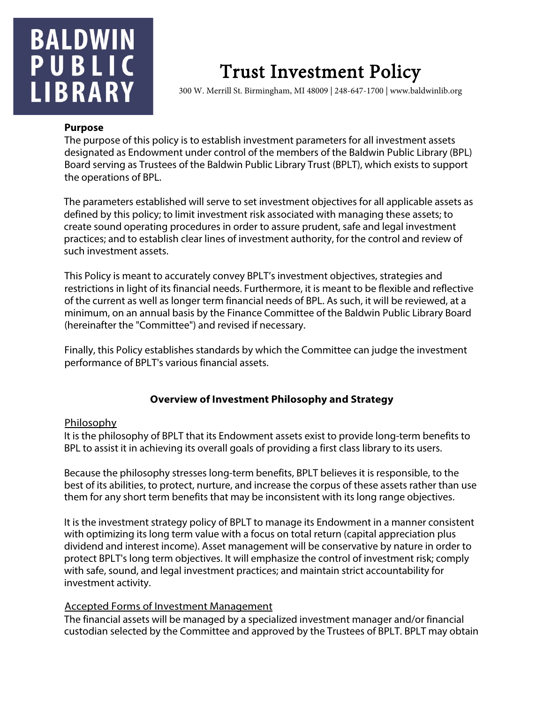# **BALDWIN** PUBLIC **LIBRARY**

# Trust Investment Policy 300 W. Merrill St. Birmingham, MI 48009 | 248-647-1700 | www.baldwinlib.org

#### **Purpose**

The purpose of this policy is to establish investment parameters for all investment assets designated as Endowment under control of the members of the Baldwin Public Library (BPL) Board serving as Trustees of the Baldwin Public Library Trust (BPLT), which exists to support the operations of BPL.

The parameters established will serve to set investment objectives for all applicable assets as defined by this policy; to limit investment risk associated with managing these assets; to create sound operating procedures in order to assure prudent, safe and legal investment practices; and to establish clear lines of investment authority, for the control and review of such investment assets.

This Policy is meant to accurately convey BPLT's investment objectives, strategies and restrictions in light of its financial needs. Furthermore, it is meant to be flexible and reflective of the current as well as longer term financial needs of BPL. As such, it will be reviewed, at a minimum, on an annual basis by the Finance Committee of the Baldwin Public Library Board (hereinafter the "Committee") and revised if necessary.

Finally, this Policy establishes standards by which the Committee can judge the investment performance of BPLT's various financial assets.

# **Overview of Investment Philosophy and Strategy**

## Philosophy

It is the philosophy of BPLT that its Endowment assets exist to provide long-term benefits to BPL to assist it in achieving its overall goals of providing a first class library to its users.

Because the philosophy stresses long-term benefits, BPLT believes it is responsible, to the best of its abilities, to protect, nurture, and increase the corpus of these assets rather than use them for any short term benefits that may be inconsistent with its long range objectives.

It is the investment strategy policy of BPLT to manage its Endowment in a manner consistent with optimizing its long term value with a focus on total return (capital appreciation plus dividend and interest income). Asset management will be conservative by nature in order to protect BPLT's long term objectives. It will emphasize the control of investment risk; comply with safe, sound, and legal investment practices; and maintain strict accountability for investment activity.

## Accepted Forms of Investment Management

The financial assets will be managed by a specialized investment manager and/or financial custodian selected by the Committee and approved by the Trustees of BPLT. BPLT may obtain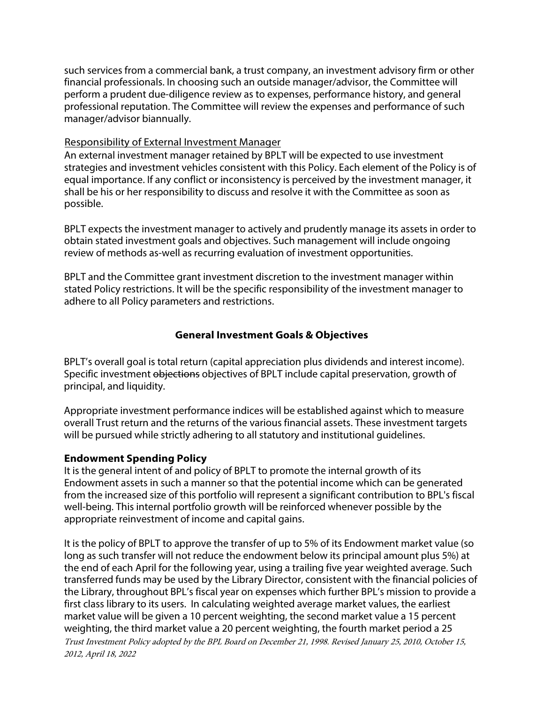such services from a commercial bank, a trust company, an investment advisory firm or other financial professionals. In choosing such an outside manager/advisor, the Committee will perform a prudent due-diligence review as to expenses, performance history, and general professional reputation. The Committee will review the expenses and performance of such manager/advisor biannually.

#### Responsibility of External Investment Manager

An external investment manager retained by BPLT will be expected to use investment strategies and investment vehicles consistent with this Policy. Each element of the Policy is of equal importance. If any conflict or inconsistency is perceived by the investment manager, it shall be his or her responsibility to discuss and resolve it with the Committee as soon as possible.

BPLT expects the investment manager to actively and prudently manage its assets in order to obtain stated investment goals and objectives. Such management will include ongoing review of methods as-well as recurring evaluation of investment opportunities.

BPLT and the Committee grant investment discretion to the investment manager within stated Policy restrictions. It will be the specific responsibility of the investment manager to adhere to all Policy parameters and restrictions.

# **General Investment Goals & Objectives**

BPLT's overall goal is total return (capital appreciation plus dividends and interest income). Specific investment objections objectives of BPLT include capital preservation, growth of principal, and liquidity.

Appropriate investment performance indices will be established against which to measure overall Trust return and the returns of the various financial assets. These investment targets will be pursued while strictly adhering to all statutory and institutional guidelines.

## **Endowment Spending Policy**

It is the general intent of and policy of BPLT to promote the internal growth of its Endowment assets in such a manner so that the potential income which can be generated from the increased size of this portfolio will represent a significant contribution to BPL's fiscal well-being. This internal portfolio growth will be reinforced whenever possible by the appropriate reinvestment of income and capital gains.

Trust Investment Policy adopted by the BPL Board on December 21, 1998. Revised January 25, 2010, October 15, 2012, April 18, 2022 It is the policy of BPLT to approve the transfer of up to 5% of its Endowment market value (so long as such transfer will not reduce the endowment below its principal amount plus 5%) at the end of each April for the following year, using a trailing five year weighted average. Such transferred funds may be used by the Library Director, consistent with the financial policies of the Library, throughout BPL's fiscal year on expenses which further BPL's mission to provide a first class library to its users. In calculating weighted average market values, the earliest market value will be given a 10 percent weighting, the second market value a 15 percent weighting, the third market value a 20 percent weighting, the fourth market period a 25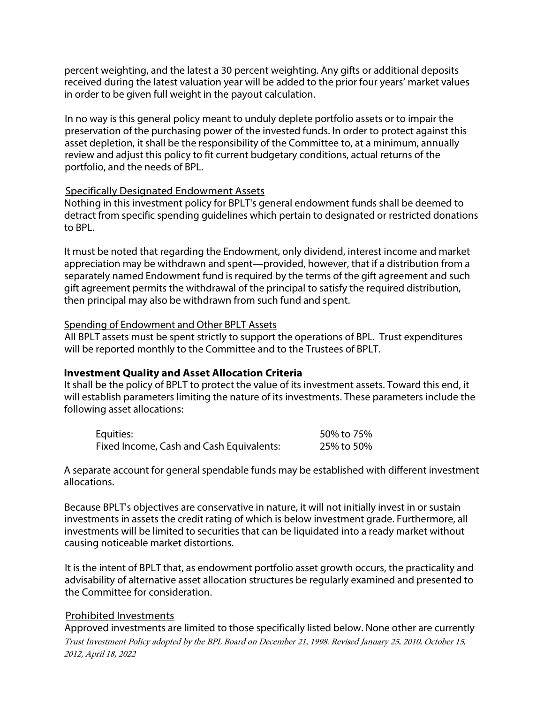percent weighting, and the latest a 30 percent weighting. Any gifts or additional deposits received during the latest valuation year will be added to the prior four years' market values in order to be given full weight in the payout calculation.

In no way is this general policy meant to unduly deplete portfolio assets or to impair the preservation of the purchasing power of the invested funds. In order to protect against this asset depletion, it shall be the responsibility of the Committee to, at a minimum, annually review and adjust this policy to fit current budgetary conditions, actual returns of the portfolio, and the needs of BPL.

#### Specifically Designated Endowment Assets

Nothing in this investment policy for BPLT's general endowment funds shall be deemed to detract from specific spending guidelines which pertain to designated or restricted donations to BPL.

It must be noted that regarding the Endowment, only dividend, interest income and market appreciation may be withdrawn and spent—provided, however, that if a distribution from a separately named Endowment fund is required by the terms of the gift agreement and such gift agreement permits the withdrawal of the principal to satisfy the required distribution, then principal may also be withdrawn from such fund and spent.

#### Spending of Endowment and Other BPLT Assets

All BPLT assets must be spent strictly to support the operations of BPL. Trust expenditures will be reported monthly to the Committee and to the Trustees of BPLT.

## **Investment Quality and Asset Allocation Criteria**

It shall be the policy of BPLT to protect the value of its investment assets. Toward this end, it will establish parameters limiting the nature of its investments. These parameters include the following asset allocations:

| Equities:                                | 50% to 75% |
|------------------------------------------|------------|
| Fixed Income, Cash and Cash Equivalents: | 25% to 50% |

A separate account for general spendable funds may be established with different investment allocations.

Because BPLT's objectives are conservative in nature, it will not initially invest in or sustain investments in assets the credit rating of which is below investment grade. Furthermore, all investments will be limited to securities that can be liquidated into a ready market without causing noticeable market distortions.

It is the intent of BPLT that, as endowment portfolio asset growth occurs, the practicality and advisability of alternative asset allocation structures be regularly examined and presented to the Committee for consideration.

## Prohibited Investments

Trust Investment Policy adopted by the BPL Board on December 21, 1998. Revised January 25, 2010, October 15, 2012, April 18, 2022 Approved investments are limited to those specifically listed below. None other are currently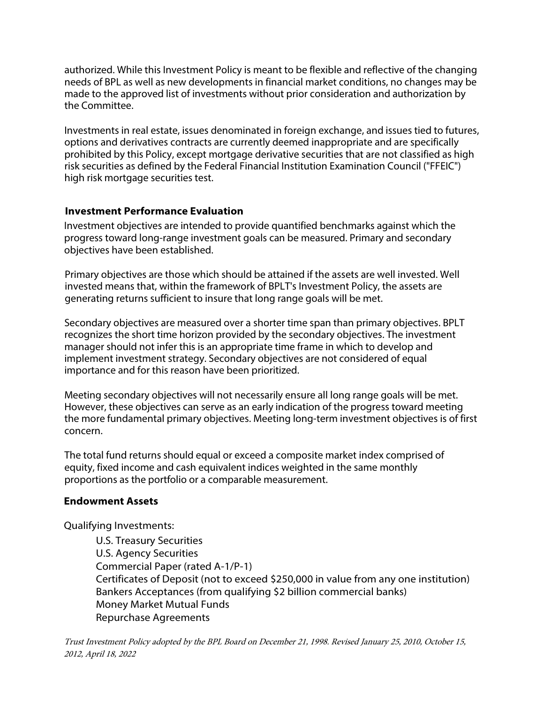authorized. While this Investment Policy is meant to be flexible and reflective of the changing needs of BPL as well as new developments in financial market conditions, no changes may be made to the approved list of investments without prior consideration and authorization by the Committee.

Investments in real estate, issues denominated in foreign exchange, and issues tied to futures, options and derivatives contracts are currently deemed inappropriate and are specifically prohibited by this Policy, except mortgage derivative securities that are not classified as high risk securities as defined by the Federal Financial Institution Examination Council ("FFEIC") high risk mortgage securities test.

# **Investment Performance Evaluation**

Investment objectives are intended to provide quantified benchmarks against which the progress toward long-range investment goals can be measured. Primary and secondary objectives have been established.

Primary objectives are those which should be attained if the assets are well invested. Well invested means that, within the framework of BPLT's Investment Policy, the assets are generating returns sufficient to insure that long range goals will be met.

Secondary objectives are measured over a shorter time span than primary objectives. BPLT recognizes the short time horizon provided by the secondary objectives. The investment manager should not infer this is an appropriate time frame in which to develop and implement investment strategy. Secondary objectives are not considered of equal importance and for this reason have been prioritized.

Meeting secondary objectives will not necessarily ensure all long range goals will be met. However, these objectives can serve as an early indication of the progress toward meeting the more fundamental primary objectives. Meeting long-term investment objectives is of first concern.

The total fund returns should equal or exceed a composite market index comprised of equity, fixed income and cash equivalent indices weighted in the same monthly proportions as the portfolio or a comparable measurement.

## **Endowment Assets**

Qualifying Investments:

U.S. Treasury Securities U.S. Agency Securities Commercial Paper (rated A-1/P-1) Certificates of Deposit (not to exceed \$250,000 in value from any one institution) Bankers Acceptances (from qualifying \$2 billion commercial banks) Money Market Mutual Funds Repurchase Agreements